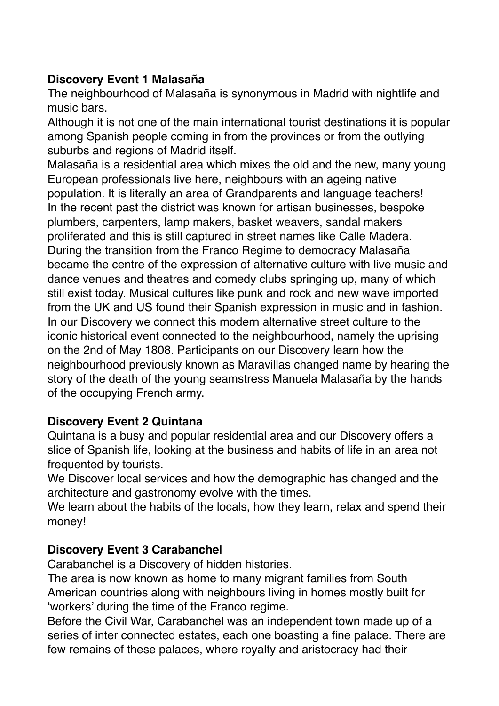## **Discovery Event 1 Malasaña**

The neighbourhood of Malasaña is synonymous in Madrid with nightlife and music bars.

Although it is not one of the main international tourist destinations it is popular among Spanish people coming in from the provinces or from the outlying suburbs and regions of Madrid itself.

Malasaña is a residential area which mixes the old and the new, many young European professionals live here, neighbours with an ageing native population. It is literally an area of Grandparents and language teachers! In the recent past the district was known for artisan businesses, bespoke plumbers, carpenters, lamp makers, basket weavers, sandal makers proliferated and this is still captured in street names like Calle Madera. During the transition from the Franco Regime to democracy Malasaña became the centre of the expression of alternative culture with live music and dance venues and theatres and comedy clubs springing up, many of which still exist today. Musical cultures like punk and rock and new wave imported from the UK and US found their Spanish expression in music and in fashion. In our Discovery we connect this modern alternative street culture to the iconic historical event connected to the neighbourhood, namely the uprising on the 2nd of May 1808. Participants on our Discovery learn how the neighbourhood previously known as Maravillas changed name by hearing the story of the death of the young seamstress Manuela Malasaña by the hands of the occupying French army.

## **Discovery Event 2 Quintana**

Quintana is a busy and popular residential area and our Discovery offers a slice of Spanish life, looking at the business and habits of life in an area not frequented by tourists.

We Discover local services and how the demographic has changed and the architecture and gastronomy evolve with the times.

We learn about the habits of the locals, how they learn, relax and spend their money!

## **Discovery Event 3 Carabanchel**

Carabanchel is a Discovery of hidden histories.

The area is now known as home to many migrant families from South American countries along with neighbours living in homes mostly built for 'workers' during the time of the Franco regime.

Before the Civil War, Carabanchel was an independent town made up of a series of inter connected estates, each one boasting a fine palace. There are few remains of these palaces, where royalty and aristocracy had their